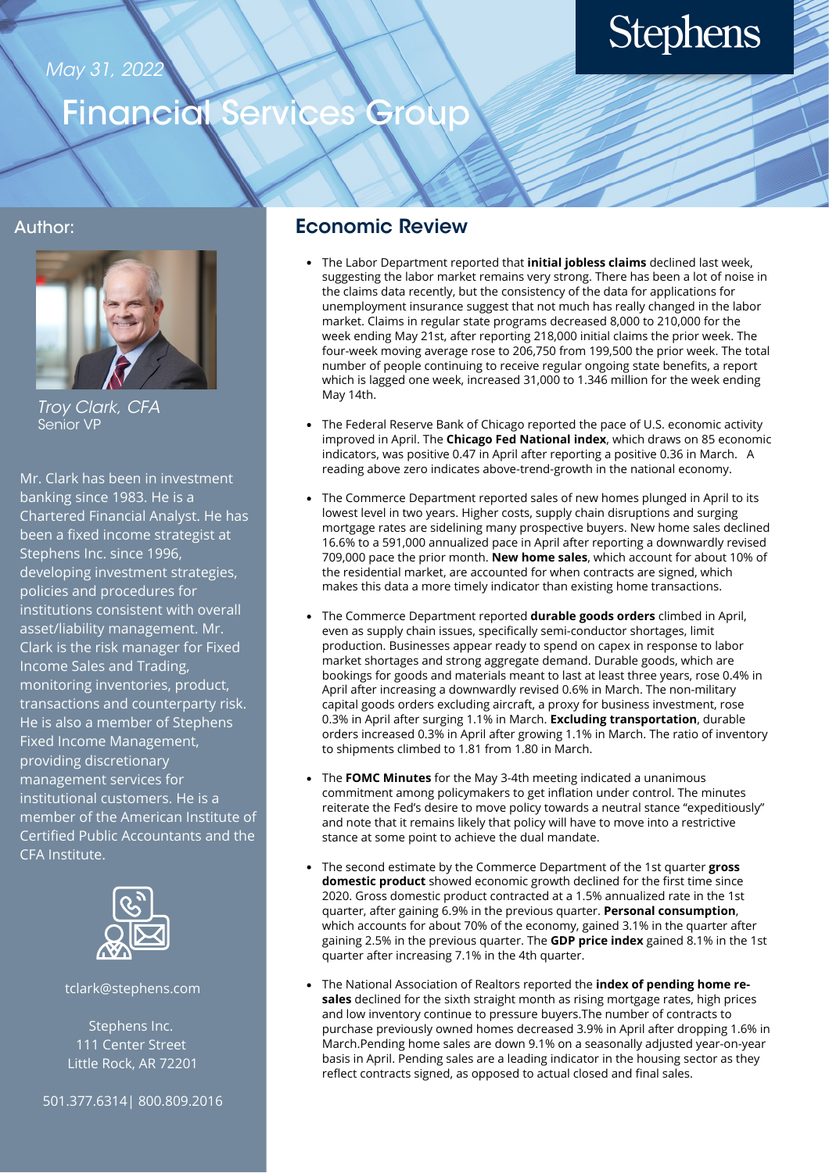#### May 31, 2022

# **Stephens**

### Financial Services Group

#### Author:



Troy Clark, CFA Senior VP

Mr. Clark has been in investment banking since 1983. He is a Chartered Financial Analyst. He has been a fixed income strategist at Stephens Inc. since 1996, developing investment strategies, policies and procedures for institutions consistent with overall asset/liability management. Mr. Clark is the risk manager for Fixed Income Sales and Trading, monitoring inventories, product, transactions and counterparty risk. He is also a member of Stephens Fixed Income Management, providing discretionary management services for institutional customers. He is a member of the American Institute of Certified Public Accountants and the CFA Institute.



tclark@stephens.com

Stephens Inc. 111 Center Street Little Rock, AR 72201

501.377.6314| 800.809.2016

#### Economic Review

- The Labor Department reported that **initial jobless claims** declined last week, suggesting the labor market remains very strong. There has been a lot of noise in the claims data recently, but the consistency of the data for applications for unemployment insurance suggest that not much has really changed in the labor market. Claims in regular state programs decreased 8,000 to 210,000 for the week ending May 21st, after reporting 218,000 initial claims the prior week. The four-week moving average rose to 206,750 from 199,500 the prior week. The total number of people continuing to receive regular ongoing state benefits, a report which is lagged one week, increased 31,000 to 1.346 million for the week ending May 14th.
- The Federal Reserve Bank of Chicago reported the pace of U.S. economic activity improved in April. The **Chicago Fed National index**, which draws on 85 economic indicators, was positive 0.47 in April after reporting a positive 0.36 in March. A reading above zero indicates above-trend-growth in the national economy.
- The Commerce Department reported sales of new homes plunged in April to its lowest level in two years. Higher costs, supply chain disruptions and surging mortgage rates are sidelining many prospective buyers. New home sales declined 16.6% to a 591,000 annualized pace in April after reporting a downwardly revised 709,000 pace the prior month. **New home sales**, which account for about 10% of the residential market, are accounted for when contracts are signed, which makes this data a more timely indicator than existing home transactions.
- The Commerce Department reported **durable goods orders** climbed in April, even as supply chain issues, specifically semi-conductor shortages, limit production. Businesses appear ready to spend on capex in response to labor market shortages and strong aggregate demand. Durable goods, which are bookings for goods and materials meant to last at least three years, rose 0.4% in April after increasing a downwardly revised 0.6% in March. The non-military capital goods orders excluding aircraft, a proxy for business investment, rose 0.3% in April after surging 1.1% in March. **Excluding transportation**, durable orders increased 0.3% in April after growing 1.1% in March. The ratio of inventory to shipments climbed to 1.81 from 1.80 in March.
- The **FOMC Minutes** for the May 3-4th meeting indicated a unanimous commitment among policymakers to get inflation under control. The minutes reiterate the Fed's desire to move policy towards a neutral stance "expeditiously" and note that it remains likely that policy will have to move into a restrictive stance at some point to achieve the dual mandate.
- The second estimate by the Commerce Department of the 1st quarter **gross domestic product** showed economic growth declined for the first time since 2020. Gross domestic product contracted at a 1.5% annualized rate in the 1st quarter, after gaining 6.9% in the previous quarter. **Personal consumption**, which accounts for about 70% of the economy, gained 3.1% in the quarter after gaining 2.5% in the previous quarter. The **GDP price index** gained 8.1% in the 1st quarter after increasing 7.1% in the 4th quarter.
- The National Association of Realtors reported the **index of pending home resales** declined for the sixth straight month as rising mortgage rates, high prices and low inventory continue to pressure buyers.The number of contracts to purchase previously owned homes decreased 3.9% in April after dropping 1.6% in March.Pending home sales are down 9.1% on a seasonally adjusted year-on-year basis in April. Pending sales are a leading indicator in the housing sector as they reflect contracts signed, as opposed to actual closed and final sales.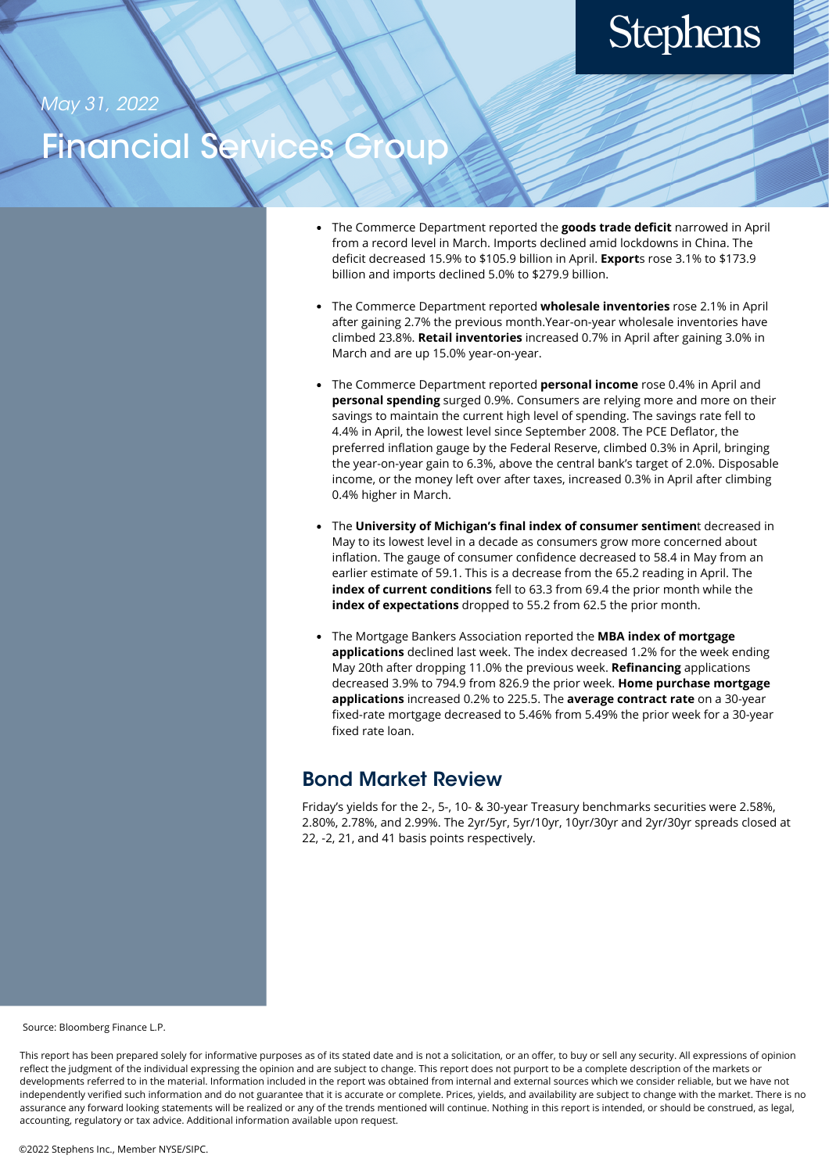# **Stephens**

May 31, 2022

### **iancial**

- The Commerce Department reported the **goods trade deficit** narrowed in April from a record level in March. Imports declined amid lockdowns in China. The deficit decreased 15.9% to \$105.9 billion in April. **Export**s rose 3.1% to \$173.9 billion and imports declined 5.0% to \$279.9 billion.
- The Commerce Department reported **wholesale inventories** rose 2.1% in April after gaining 2.7% the previous month.Year-on-year wholesale inventories have climbed 23.8%. **Retail inventories** increased 0.7% in April after gaining 3.0% in March and are up 15.0% year-on-year.
- The Commerce Department reported **personal income** rose 0.4% in April and **personal spending** surged 0.9%. Consumers are relying more and more on their savings to maintain the current high level of spending. The savings rate fell to 4.4% in April, the lowest level since September 2008. The PCE Deflator, the preferred inflation gauge by the Federal Reserve, climbed 0.3% in April, bringing the year-on-year gain to 6.3%, above the central bank's target of 2.0%. Disposable income, or the money left over after taxes, increased 0.3% in April after climbing 0.4% higher in March.
- The **University of Michigan's final index of consumer sentimen**t decreased in May to its lowest level in a decade as consumers grow more concerned about inflation. The gauge of consumer confidence decreased to 58.4 in May from an earlier estimate of 59.1. This is a decrease from the 65.2 reading in April. The **index of current conditions** fell to 63.3 from 69.4 the prior month while the **index of expectations** dropped to 55.2 from 62.5 the prior month.
- The Mortgage Bankers Association reported the **MBA index of mortgage applications** declined last week. The index decreased 1.2% for the week ending May 20th after dropping 11.0% the previous week. **Refinancing** applications decreased 3.9% to 794.9 from 826.9 the prior week. **Home purchase mortgage applications** increased 0.2% to 225.5. The **average contract rate** on a 30-year fixed-rate mortgage decreased to 5.46% from 5.49% the prior week for a 30-year fixed rate loan.

### Bond Market Review

Friday's yields for the 2-, 5-, 10- & 30-year Treasury benchmarks securities were 2.58%, 2.80%, 2.78%, and 2.99%. The 2yr/5yr, 5yr/10yr, 10yr/30yr and 2yr/30yr spreads closed at 22, -2, 21, and 41 basis points respectively.

Source: Bloomberg Finance L.P.

This report has been prepared solely for informative purposes as of its stated date and is not a solicitation, or an offer, to buy or sell any security. All expressions of opinion reflect the judgment of the individual expressing the opinion and are subject to change. This report does not purport to be a complete description of the markets or developments referred to in the material. Information included in the report was obtained from internal and external sources which we consider reliable, but we have not independently verified such information and do not guarantee that it is accurate or complete. Prices, yields, and availability are subject to change with the market. There is no assurance any forward looking statements will be realized or any of the trends mentioned will continue. Nothing in this report is intended, or should be construed, as legal, accounting, regulatory or tax advice. Additional information available upon request.